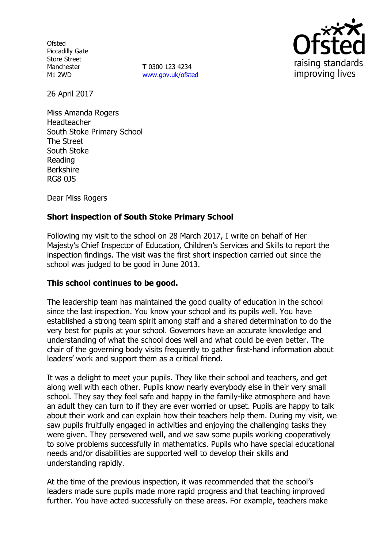**Ofsted** Piccadilly Gate Store Street Manchester M1 2WD

**T** 0300 123 4234 [www.gov.uk/ofsted](http://www.gov.uk/ofsted)



26 April 2017

Miss Amanda Rogers Headteacher South Stoke Primary School The Street South Stoke Reading Berkshire RG8 0JS

Dear Miss Rogers

## **Short inspection of South Stoke Primary School**

Following my visit to the school on 28 March 2017, I write on behalf of Her Majesty's Chief Inspector of Education, Children's Services and Skills to report the inspection findings. The visit was the first short inspection carried out since the school was judged to be good in June 2013.

## **This school continues to be good.**

The leadership team has maintained the good quality of education in the school since the last inspection. You know your school and its pupils well. You have established a strong team spirit among staff and a shared determination to do the very best for pupils at your school. Governors have an accurate knowledge and understanding of what the school does well and what could be even better. The chair of the governing body visits frequently to gather first-hand information about leaders' work and support them as a critical friend.

It was a delight to meet your pupils. They like their school and teachers, and get along well with each other. Pupils know nearly everybody else in their very small school. They say they feel safe and happy in the family-like atmosphere and have an adult they can turn to if they are ever worried or upset. Pupils are happy to talk about their work and can explain how their teachers help them. During my visit, we saw pupils fruitfully engaged in activities and enjoying the challenging tasks they were given. They persevered well, and we saw some pupils working cooperatively to solve problems successfully in mathematics. Pupils who have special educational needs and/or disabilities are supported well to develop their skills and understanding rapidly.

At the time of the previous inspection, it was recommended that the school's leaders made sure pupils made more rapid progress and that teaching improved further. You have acted successfully on these areas. For example, teachers make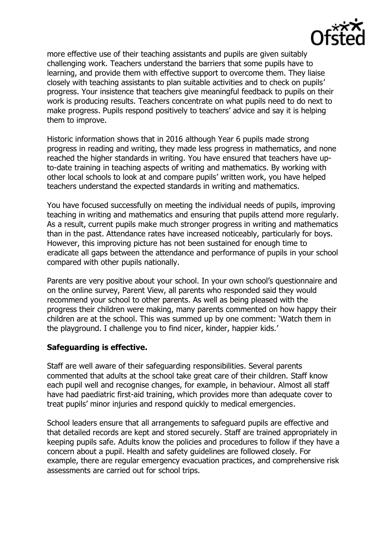

more effective use of their teaching assistants and pupils are given suitably challenging work. Teachers understand the barriers that some pupils have to learning, and provide them with effective support to overcome them. They liaise closely with teaching assistants to plan suitable activities and to check on pupils' progress. Your insistence that teachers give meaningful feedback to pupils on their work is producing results. Teachers concentrate on what pupils need to do next to make progress. Pupils respond positively to teachers' advice and say it is helping them to improve.

Historic information shows that in 2016 although Year 6 pupils made strong progress in reading and writing, they made less progress in mathematics, and none reached the higher standards in writing. You have ensured that teachers have upto-date training in teaching aspects of writing and mathematics. By working with other local schools to look at and compare pupils' written work, you have helped teachers understand the expected standards in writing and mathematics.

You have focused successfully on meeting the individual needs of pupils, improving teaching in writing and mathematics and ensuring that pupils attend more regularly. As a result, current pupils make much stronger progress in writing and mathematics than in the past. Attendance rates have increased noticeably, particularly for boys. However, this improving picture has not been sustained for enough time to eradicate all gaps between the attendance and performance of pupils in your school compared with other pupils nationally.

Parents are very positive about your school. In your own school's questionnaire and on the online survey, Parent View, all parents who responded said they would recommend your school to other parents. As well as being pleased with the progress their children were making, many parents commented on how happy their children are at the school. This was summed up by one comment: 'Watch them in the playground. I challenge you to find nicer, kinder, happier kids.'

## **Safeguarding is effective.**

Staff are well aware of their safeguarding responsibilities. Several parents commented that adults at the school take great care of their children. Staff know each pupil well and recognise changes, for example, in behaviour. Almost all staff have had paediatric first-aid training, which provides more than adequate cover to treat pupils' minor injuries and respond quickly to medical emergencies.

School leaders ensure that all arrangements to safeguard pupils are effective and that detailed records are kept and stored securely. Staff are trained appropriately in keeping pupils safe. Adults know the policies and procedures to follow if they have a concern about a pupil. Health and safety guidelines are followed closely. For example, there are regular emergency evacuation practices, and comprehensive risk assessments are carried out for school trips.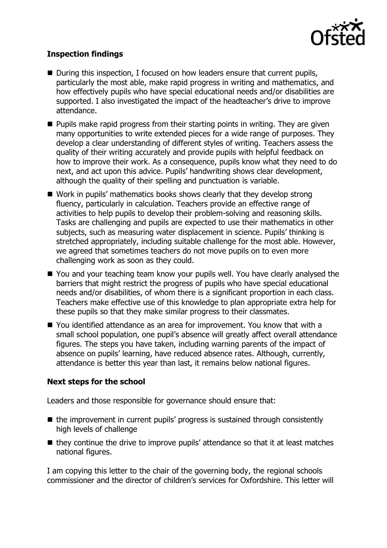

# **Inspection findings**

- During this inspection, I focused on how leaders ensure that current pupils, particularly the most able, make rapid progress in writing and mathematics, and how effectively pupils who have special educational needs and/or disabilities are supported. I also investigated the impact of the headteacher's drive to improve attendance.
- $\blacksquare$  Pupils make rapid progress from their starting points in writing. They are given many opportunities to write extended pieces for a wide range of purposes. They develop a clear understanding of different styles of writing. Teachers assess the quality of their writing accurately and provide pupils with helpful feedback on how to improve their work. As a consequence, pupils know what they need to do next, and act upon this advice. Pupils' handwriting shows clear development, although the quality of their spelling and punctuation is variable.
- Work in pupils' mathematics books shows clearly that they develop strong fluency, particularly in calculation. Teachers provide an effective range of activities to help pupils to develop their problem-solving and reasoning skills. Tasks are challenging and pupils are expected to use their mathematics in other subjects, such as measuring water displacement in science. Pupils' thinking is stretched appropriately, including suitable challenge for the most able. However, we agreed that sometimes teachers do not move pupils on to even more challenging work as soon as they could.
- You and your teaching team know your pupils well. You have clearly analysed the barriers that might restrict the progress of pupils who have special educational needs and/or disabilities, of whom there is a significant proportion in each class. Teachers make effective use of this knowledge to plan appropriate extra help for these pupils so that they make similar progress to their classmates.
- You identified attendance as an area for improvement. You know that with a small school population, one pupil's absence will greatly affect overall attendance figures. The steps you have taken, including warning parents of the impact of absence on pupils' learning, have reduced absence rates. Although, currently, attendance is better this year than last, it remains below national figures.

## **Next steps for the school**

Leaders and those responsible for governance should ensure that:

- $\blacksquare$  the improvement in current pupils' progress is sustained through consistently high levels of challenge
- $\blacksquare$  they continue the drive to improve pupils' attendance so that it at least matches national figures.

I am copying this letter to the chair of the governing body, the regional schools commissioner and the director of children's services for Oxfordshire. This letter will